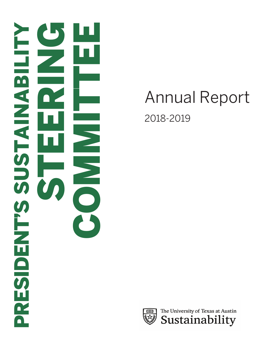

# Annual Report 2018-2019

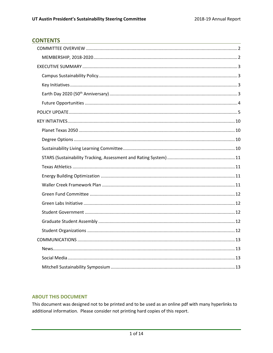## **CONTENTS**

## **ABOUT THIS DOCUMENT**

This document was designed not to be printed and to be used as an online pdf with many hyperlinks to additional information. Please consider not printing hard copies of this report.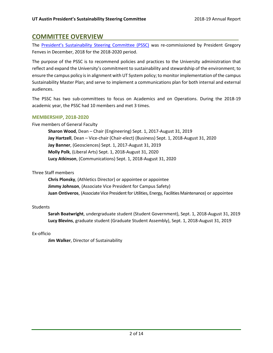# <span id="page-2-0"></span>**COMMITTEE OVERVIEW**

The [President's Sustainability Steering Committee \(PSSC\)](https://sustainability.utexas.edu/leadership/pssc) was re-commissioned by President Gregory Fenves in December, 2018 for the 2018-2020 period.

The purpose of the PSSC is to recommend policies and practices to the University administration that reflect and expand the University's commitment to sustainability and stewardship of the environment; to ensure the campus policy is in alignment with UT System policy; to monitorimplementation of the campus Sustainability Master Plan; and serve to implement a communications plan for both internal and external audiences.

The PSSC has two sub-committees to focus on Academics and on Operations. During the 2018-19 academic year, the PSSC had 10 members and met 3 times.

## <span id="page-2-1"></span>**MEMBERSHIP, 2018-2020**

Five members of General Faculty

**Sharon Wood**, Dean – Chair (Engineering) Sept. 1, 2017-August 31, 2019 **Jay Hartzell**, Dean – Vice-chair (Chair-elect) (Business) Sept. 1, 2018-August 31, 2020 **Jay Banner**, (Geosciences) Sept. 1, 2017-August 31, 2019 **Molly Polk**, (Liberal Arts) Sept. 1, 2018-August 31, 2020 **Lucy Atkinson**, (Communications) Sept. 1, 2018-August 31, 2020

Three Staff members

**Chris Plonsky**, (Athletics Director) or appointee or appointee **Jimmy Johnson**, (Associate Vice President for Campus Safety) **Juan Ontiveros**, (Associate Vice President for Utilities, Energy, Facilities Maintenance) or appointee

## **Students**

**Sarah Boatwright**, undergraduate student (Student Government), Sept. 1, 2018-August 31, 2019 **Lucy Blevins**, graduate student (Graduate Student Assembly), Sept. 1, 2018-August 31, 2019

Ex-officio

**Jim Walker**, Director of Sustainability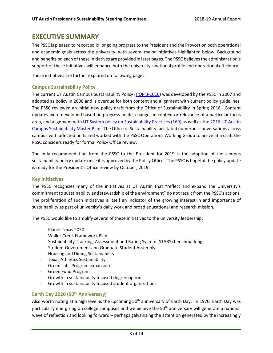# <span id="page-3-0"></span>**EXECUTIVE SUMMARY**

The PSSC is pleased to report solid, ongoing progress to the President and the Provost on both operational and academic goals across the university, with several major initiatives highlighted below. Background and benefits on each of these initiatives are provided in later pages. The PSSC believes the administration's support of these initiatives will enhance both the university's national profile and operational efficiency.

These initiatives are further explored on following pages.

## <span id="page-3-1"></span>**Campus Sustainability Policy**

The current UT Austin Campus Sustainability Policy [\(HOP 3-1010\)](https://policies.utexas.edu/policies/campus-sustainability) was developed by the PSSC in 2007 and adopted as policy in 2008 and is overdue for both content and alignment with current policy guidelines. The PSSC reviewed an initial new policy draft from the Office of Sustainability in Spring 2018. Content updates were developed based on progress made, changes in context or relevance of a particular focus area, and alignment with [UT System policy on Sustainability Practices](https://www.utsystem.edu/sites/policy-library/policies/uts-169-sustainability-practices) (169) as well as the 2016 UT Austin [Campus Sustainability Master Plan.](https://sustainability.utexas.edu/leadership/masterplan) The Office of Sustainability facilitated numerous conversations across campus with affected units and worked with the PSSC Operations Working Group to arrive at a draft the PSSC considers ready for formal Policy Office review.

The only recommendation from the PSSC to the President for 2019 is the adoption of the campus sustainability policy update once it is approved by the Policy Office. The PSSC is hopeful the policy update is ready for the President's Office review by October, 2019.

### <span id="page-3-2"></span>**Key Initiatives**

The PSSC recognizes many of the initiatives at UT Austin that "reflect and expand the University's commitment to sustainability and stewardship of the environment" do not result from the PSSC's actions. The proliferation of such initiatives is itself an indicator of the growing interest in and importance of sustainability as part of university's daily work and broad educational and research mission.

The PSSC would like to amplify several of these initiatives to the university leadership:

- Planet Texas 2050
- Waller Creek Framework Plan
- Sustainability Tracking, Assessment and Rating System (STARS) benchmarking
- Student Government and Graduate Student Assembly
- Housing and Dining Sustainability
- Texas Athletics Sustainability
- Green Labs Program expansion
- Green Fund Program
- Growth in sustainability focused degree options
- Growth in sustainability focused student organizations

## <span id="page-3-3"></span>**Earth Day 2020 (50th Anniversary)**

Also worth noting at a high level is the upcoming 50<sup>th</sup> anniversary of Earth Day. In 1970, Earth Day was particularly energizing on college campuses and we believe the  $50<sup>th</sup>$  anniversary will generate a national wave of reflection and looking forward – perhaps galvanizing the attention generated by the increasingly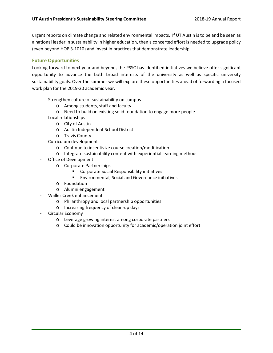urgent reports on climate change and related environmental impacts. If UT Austin is to be and be seen as a national leader in sustainability in higher education, then a concerted effort is needed to upgrade policy (even beyond HOP 3-1010) and invest in practices that demonstrate leadership.

## <span id="page-4-0"></span>**Future Opportunities**

Looking forward to next year and beyond, the PSSC has identified initiatives we believe offer significant opportunity to advance the both broad interests of the university as well as specific university sustainability goals. Over the summer we will explore these opportunities ahead of forwarding a focused work plan for the 2019-20 academic year.

- Strengthen culture of sustainability on campus
	- o Among students, staff and faculty
	- o Need to build on existing solid foundation to engage more people
- Local relationships
	- o City of Austin
	- o Austin Independent School District
	- o Travis County
- Curriculum development
	- o Continue to incentivize course creation/modification
	- o Integrate sustainability content with experiential learning methods
- Office of Development
	- o Corporate Partnerships
		- Corporate Social Responsibility initiatives
		- **Environmental, Social and Governance initiatives**
	- o Foundation
	- o Alumni engagement
- Waller Creek enhancement
	- o Philanthropy and local partnership opportunities
	- o Increasing frequency of clean-up days
- Circular Economy
	- o Leverage growing interest among corporate partners
	- o Could be innovation opportunity for academic/operation joint effort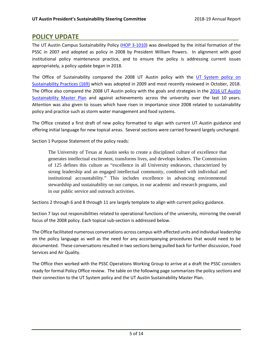# <span id="page-5-0"></span>**POLICY UPDATE**

The UT Austin Campus Sustainability Policy [\(HOP 3-1010\)](https://policies.utexas.edu/policies/campus-sustainability) was developed by the initial formation of the PSSC in 2007 and adopted as policy in 2008 by President William Powers. In alignment with good institutional policy maintenance practice, and to ensure the policy is addressing current issues appropriately, a policy update began in 2018.

The Office of Sustainability compared the 2008 UT Austin policy with the [UT System policy on](https://www.utsystem.edu/sites/policy-library/policies/uts-169-sustainability-practices)  [Sustainability Practices](https://www.utsystem.edu/sites/policy-library/policies/uts-169-sustainability-practices) (169) which was adopted in 2009 and most recently reviewed in October, 2018. The Office also compared the 2008 UT Austin policy with the goals and strategies in the [2016 UT Austin](https://sustainability.utexas.edu/leadership/masterplan)  [Sustainability Master Plan](https://sustainability.utexas.edu/leadership/masterplan) and against achievements across the university over the last 10 years. Attention was also given to issues which have risen in importance since 2008 related to sustainability policy and practice such as storm water management and food systems.

The Office created a first draft of new policy formatted to align with current UT Austin guidance and offering initial language for new topical areas. Several sections were carried forward largely unchanged.

Section 1 Purpose Statement of the policy reads:

The University of Texas at Austin seeks to create a disciplined culture of excellence that generates intellectual excitement, transforms lives, and develops leaders. The Commission of 125 defines this culture as "excellence in all University endeavors, characterized by strong leadership and an engaged intellectual community, combined with individual and institutional accountability." This includes excellence in advancing environmental stewardship and sustainability on our campus, in our academic and research programs, and in our public service and outreach activities.

Sections 2 through 6 and 8 through 11 are largely template to align with current policy guidance.

Section 7 lays out responsibilities related to operational functions of the university, mirroring the overall focus of the 2008 policy. Each topical sub-section is addressed below.

The Office facilitated numerous conversations across campus with affected units and individual leadership on the policy language as well as the need for any accompanying procedures that would need to be documented. These conversations resulted in two sections being pulled back for further discussion, Food Services and Air Quality.

The Office then worked with the PSSC Operations Working Group to arrive at a draft the PSSC considers ready for formal Policy Office review. The table on the following page summarizes the policy sections and their connection to the UT System policy and the UT Austin Sustainability Master Plan.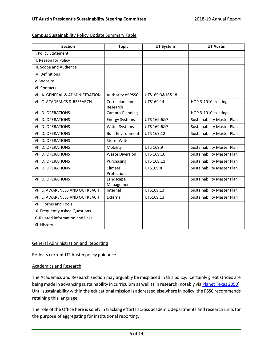Campus Sustainability Policy Update Summary Table

| <b>Section</b>                   | <b>Topic</b>               | <b>UT System</b> | <b>UT Austin</b>                  |
|----------------------------------|----------------------------|------------------|-----------------------------------|
| I. Policy Statement              |                            |                  |                                   |
| II. Reason for Policy            |                            |                  |                                   |
| III. Scope and Audience          |                            |                  |                                   |
| IV. Definitions                  |                            |                  |                                   |
| V. Website                       |                            |                  |                                   |
| VI. Contacts                     |                            |                  |                                   |
| VII. A. GENERAL & ADMINISTRATION | Authority of PSSC          | UTS169:3&16&18   |                                   |
| VII. C. ACADEMICS & RESEARCH     | Curriculum and<br>Research | UTS169:14        | HOP 3-1010 existing               |
| VII. D. OPERATIONS               | <b>Campus Planning</b>     |                  | HOP 3-1010 existing               |
| VII. D. OPERATIONS               | <b>Energy Systems</b>      | UTS 169:6&7      | <b>Sustainability Master Plan</b> |
| VII. D. OPERATIONS               | <b>Water Systems</b>       | UTS 169:6&7      | <b>Sustainability Master Plan</b> |
| VII. D. OPERATIONS               | <b>Built Environment</b>   | UTS 169:12       | <b>Sustainability Master Plan</b> |
| VII. D. OPERATIONS               | Storm Water                |                  |                                   |
| VII. D. OPERATIONS               | Mobility                   | UTS 169:9        | <b>Sustainability Master Plan</b> |
| VII. D. OPERATIONS               | <b>Waste Diversion</b>     | UTS 169:10       | <b>Sustainability Master Plan</b> |
| VII. D. OPERATIONS               | Purchasing                 | UTS 169:11       | <b>Sustainability Master Plan</b> |
| VII. D. OPERATIONS               | Climate<br>Protection      | UTS169:8         | <b>Sustainability Master Plan</b> |
| VII. D. OPERATIONS               | Landscape<br>Management    |                  | <b>Sustainability Master Plan</b> |
| VII. E. AWARENESS AND OUTREACH   | Internal                   | UTS169:13        | <b>Sustainability Master Plan</b> |
| VII. E. AWARENESS AND OUTREACH   | External                   | UTS169:13        | <b>Sustainability Master Plan</b> |
| <b>VIII. Forms and Tools</b>     |                            |                  |                                   |
| IX. Frequently Asked Questions   |                            |                  |                                   |
| X. Related information and links |                            |                  |                                   |
| XI. History                      |                            |                  |                                   |

#### General Administration and Reporting

Reflects current UT Austin policy guidance.

#### Academics and Research

The Academics and Research section may arguably be misplaced in this policy. Certainly great strides are being made in advancing sustainability in curriculum as well as in research (notably via [Planet Texas 2050\)](https://bridgingbarriers.utexas.edu/planet-texas-2050/). Until sustainability within the educational mission is addressed elsewhere in policy, the PSSC recommends retaining this language.

The role of the Office here is solely in tracking efforts across academic departments and research units for the purpose of aggregating for institutional reporting.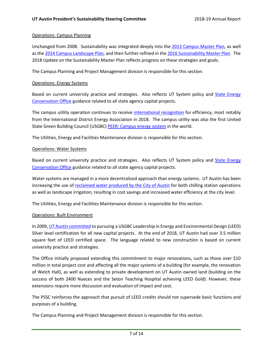#### Operations: Campus Planning

Unchanged from 2008. Sustainability was integrated deeply into the [2013 Campus Master Plan,](https://capitalplanning.utexas.edu/about/campus-master-plan) as well as the [2014 Campus Landscape Plan,](https://capitalplanning.utexas.edu/about/campus-master-plan) and then further refined in the [2016 Sustainability Master Plan.](https://sustainability.utexas.edu/leadership/masterplan) The 2018 Update on the Sustainability Master Plan reflects progress on these strategies and goals.

The Campus Planning and Project Management division is responsible for this section.

#### Operations: Energy Systems

Based on current university practice and strategies. Also reflects UT System policy and State Energy [Conservation Office](https://comptroller.texas.gov/programs/seco/) guidance related to all state agency capital projects.

The campus utility operation continues to receive [international recognition](https://utilities.utexas.edu/about/awards-and-recognition) for efficiency, most notably from the International District Energy Association in 2018. The campus utility was also the first United State Green Building Council (USGBC[\) PEER: Campus energy system](http://peer.gbci.org/university-texas-austin) in the world.

The Utilities, Energy and Facilities Maintenance division is responsible for this section.

#### Operations: Water Systems

Based on current university practice and strategies. Also reflects UT System policy and State Energy [Conservation Office](https://comptroller.texas.gov/programs/seco/) guidance related to all state agency capital projects.

Water systems are managed in a more decentralized approach than energy systems. UT Austin has been increasing the use of [reclaimed water produced by the City of Austin](https://utilities.utexas.edu/efficiency/water-conservation-efforts) for both chilling station operations as well as landscape irrigation, resulting in cost savings and increased water efficiency at the city level.

The Utilities, Energy and Facilities Maintenance division is responsible for this section.

#### Operations: Built Environment

In 2009[, UT Austin committed](https://capitalplanning.utexas.edu/sustainability) to pursuing a USGBC Leadership in Energy and Environmental Design (LEED) Silver level certification for all new capital projects. At the end of 2018, UT Austin had over 3.5 million square feet of LEED certified space. The language related to new construction is based on current university practice and strategies.

The Office initially proposed extending this commitment to major renovations, such as those over \$10 million in total project cost and affecting all the major systems of a building (for example, the renovation of Welch Hall), as well as extending to private development on UT Austin owned land (building on the success of both 2400 Nueces and the Seton Teaching Hospital achieving LEED Gold). However, these extensions require more discussion and evaluation of impact and cost.

The PSSC reinforces the approach that pursuit of LEED credits should not supersede basic functions and purposes of a building.

The Campus Planning and Project Management division is responsible for this section.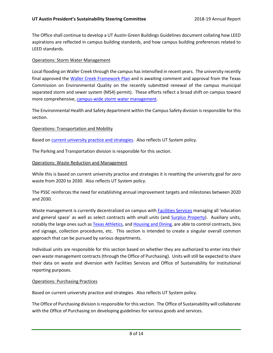The Office shall continue to develop a UT Austin Green Buildings Guidelines document collating how LEED aspirations are reflected in campus building standards, and how campus building preferences related to LEED standards.

#### Operations: Storm Water Management

Local flooding on Waller Creek through the campus has intensified in recent years. The university recently final approved the [Waller Creek Framework Plan](https://capitalplanning.utexas.edu/about/campus-master-plan) and is awaiting comment and approval from the Texas Commission on Environmental Quality on the recently submitted renewal of the campus municipal separated storm and sewer system (MS4) permit). These efforts reflect a broad shift on campus toward more comprehensive, [campus-wide storm water management.](https://ehs.utexas.edu/programs/watermanagement/)

The Environmental Health and Safety department within the Campus Safety division is responsible for this section.

#### Operations: Transportation and Mobility

Based on [current university practice and strategies.](https://parking.utexas.edu/transportation) Also reflects UT System policy.

The Parking and Transportation division is responsible for this section.

#### Operations: Waste Reduction and Management

While this is based on current university practice and strategies it is resetting the university goal for zero waste from 2020 to 2030. Also reflects UT System policy.

The PSSC reinforces the need for establishing annual improvement targets and milestones between 2020 and 2030.

Waste management is currently decentralized on campus wit[h Facilities Services](https://facilitiesservices.utexas.edu/divisions/support/zero-waste.php) managing all 'education and general space' as well as select contracts with small units (and [Surplus Property\)](https://facilitiesservices.utexas.edu/divisions/support/surplus-property.php). Auxiliary units, notably the large ones such a[s Texas Athletics,](https://texassports.com/news/2018/11/25/texas-athletics-sustainablility-efforts-increase-during-2018-football-season.aspx) and [Housing and Dining,](https://sustainability.utexas.edu/news/reducing-food-scraps) are able to control contracts, bins and signage, collection procedures, etc. This section is intended to create a singular overall common approach that can be pursued by various departments.

Individual units are responsible for this section based on whether they are authorized to enter into their own waste management contracts (through the Office of Purchasing). Units will still be expected to share their data on waste and diversion with Facilities Services and Office of Sustainability for institutional reporting purposes.

#### Operations: Purchasing Practices

Based on current university practice and strategies. Also reflects UT System policy.

The Office of Purchasing division is responsible for this section. The Office of Sustainability will collaborate with the Office of Purchasing on developing guidelines for various goods and services.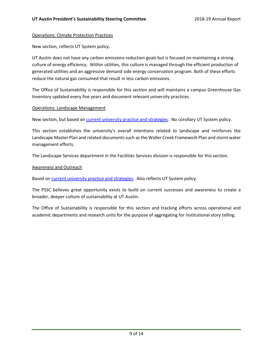#### Operations: Climate Protection Practices

New section, reflects UT System policy.

UT Austin does not have any carbon emissions reduction goals but is focused on maintaining a strong culture of energy efficiency. Within utilities, this culture is managed through the efficient production of generated utilities and an aggressive demand side energy conservation program. Both of these efforts reduce the natural gas consumed that result in less carbon emissions.

The Office of Sustainability is responsible for this section and will maintains a campus Greenhouse Gas Inventory updated every five years and document relevant university practices.

#### Operations: Landscape Management

New section, but based on [current university practice and strategies.](https://facilitiesservices.utexas.edu/divisions/support/landscape-services.php) No corollary UT System policy.

This section establishes the university's overall intentions related to landscape and reinforces the Landscape Master Plan and related documents such as the Waller Creek Framework Plan and storm water management efforts.

The Landscape Services department in the Facilities Services division is responsible for this section.

#### Awareness and Outreach

Based on [current university practice and strategies.](https://sustainability.utexas.edu/news) Also reflects UT System policy.

The PSSC believes great opportunity exists to build on current successes and awareness to create a broader, deeper culture of sustainability at UT Austin.

The Office of Sustainability is responsible for this section and tracking efforts across operational and academic departments and research units for the purpose of aggregating for institutional story telling.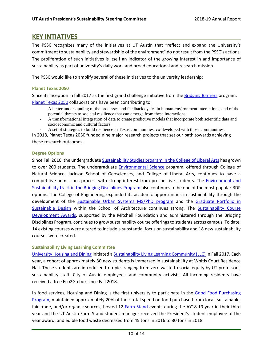# <span id="page-10-0"></span>**KEY INTIATIVES**

The PSSC recognizes many of the initiatives at UT Austin that "reflect and expand the University's commitment to sustainability and stewardship of the environment" do not result from the PSSC's actions. The proliferation of such initiatives is itself an indicator of the growing interest in and importance of sustainability as part of university's daily work and broad educational and research mission.

The PSSC would like to amplify several of these initiatives to the university leadership:

#### <span id="page-10-1"></span>**Planet Texas 2050**

Since its inception in fall 2017 as the first grand challenge initiative from th[e Bridging Barriers](https://bridgingbarriers.utexas.edu/) program, [Planet Texas 2050](https://bridgingbarriers.utexas.edu/planet-texas-2050/) collaborations have been contributing to:

- A better understanding of the processes and feedback cycles in human-environment interactions, and of the potential threats to societal resilience that can emerge from these interactions;
- A transformational integration of data to create predictive models that incorporate both scientific data and socioeconomic and cultural factors;
- A set of strategies to build resilience in Texas communities, co-developed with those communities.

In 2018, Planet Texas 2050 funded nine major research projects that set our path towards achieving these research outcomes.

#### <span id="page-10-2"></span>**Degree Options**

Since Fall 2016, the undergraduate [Sustainability Studies program in the College of Liberal Arts](https://liberalarts.utexas.edu/geography/undergraduate/sustainability-studies.php) has grown to over 200 students. The undergraduate [Environmental Science](http://www.esi.utexas.edu/education/undergraduate-students/evs-program/) program, offered through College of Natural Science, Jackson School of Geosciences, and College of Liberal Arts, continues to have a competitive admissions process with strong interest from prospective students. The [Environment and](https://ugs.utexas.edu/bdp/programs/env)  [Sustainability track in the Bridging Disciplines Program](https://ugs.utexas.edu/bdp/programs/env) also continues to be one of the most popular BDP options. The College of Engineering expanded its academic opportunities in sustainability through the development of the [Sustainable Urban Systems MS/PhD program](https://www.caee.utexas.edu/sustainable) and the [Graduate Portfolio in](https://soa.utexas.edu/programs/sustainable-design)  [Sustainable Design](https://soa.utexas.edu/programs/sustainable-design) within the School of Architecture continues strong. The [Sustainability Course](https://ugs.utexas.edu/bdp/sustainability-award)  [Development Awards,](https://ugs.utexas.edu/bdp/sustainability-award) supported by the Mitchell Foundation and administered through the Bridging Disciplines Program, continues to grow sustainability course offerings to students across campus. To date, 14 existing courses were altered to include a substantial focus on sustainability and 18 new sustainability courses were created.

#### <span id="page-10-3"></span>**Sustainability Living Learning Committee**

[University Housing and Dining](http://housing.utexas.edu/sustainability) initiated [a Sustainability Living Learning Community \(LLC\)](https://sustainability.utexas.edu/news/llc-sustainability) in Fall 2017. Each year, a cohort of approximately 30 new students is immersed in sustainability at Whitis Court Residence Hall. These students are introduced to topics ranging from zero waste to social equity by UT professors, sustainability staff, City of Austin employees, and community activists. All incoming residents have received a free Eco2Go box since Fall 2018.

In food services, Housing and Dining is the first university to participate in the [Good Food Purchasing](https://goodfoodcities.org/portfolio/austin/)  [Program;](https://goodfoodcities.org/portfolio/austin/) maintained approximately 20% of their total spend on food purchased from local, sustainable, fair trade, and/or organic sources; hosted 12 [Farm Stand](http://housing.utexas.edu/sustain/ut-farm-stand) events during the AY18-19 year in their third year and the UT Austin Farm Stand student manager received the President's student employee of the year award; and edible food waste decreased from 45 tons in 2016 to 30 tons in 2018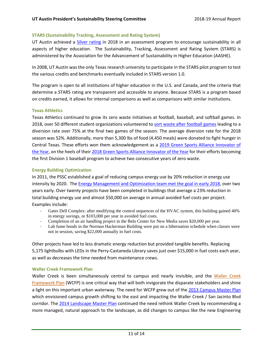#### <span id="page-11-0"></span>**STARS (Sustainability Tracking, Assessment and Rating System)**

UT Austin achieved a [Silver rating](https://sustainability.utexas.edu/news/ut-austin-receives-stars-silver-rating-sustainability-achievements) in 2018 in an assessment program to encourage sustainability in all aspects of higher education. The Sustainability, Tracking, Assessment and Rating System (STARS) is administered by the Association for the Advancement of Sustainability in Higher Education (AASHE).

In 2008, UT Austin was the only Texas research university to participate in the STARS pilot program to test the various credits and benchmarks eventually included in STARS version 1.0.

The program is open to all institutions of higher education in the U.S. and Canada, and the criteria that determine a STARS rating are transparent and accessible to anyone. Because STARS is a program based on credits earned, it allows for internal comparisons as well as comparisons with similar institutions.

#### <span id="page-11-1"></span>**Texas Athletics**

Texas Athletics continued to grow its zero waste initiatives at football, baseball, and softball games. In 2018, over 50 different student organizations volunteered to [sort waste after football games](https://texassports.com/news/2018/11/25/texas-athletics-sustainablility-efforts-increase-during-2018-football-season.aspx) leading to a diversion rate over 75% at the final two games of the season. The average diversion rate for the 2018 season was 52%. Additionally, more than 5,300 lbs of food (4,450 meals) were donated to fight hunger in Central Texas. These efforts won them acknowledgement as a [2019 Green Sports Alliance Innovator of](https://greensportsalliance.org/recognizing-the-green-sports-alliance-2019-innovators-of-the-year/)  [the Year,](https://greensportsalliance.org/recognizing-the-green-sports-alliance-2019-innovators-of-the-year/) on the heels of their [2018 Green Sports Alliance Innovator of the Year](https://texassports.com/news/2018/6/29/texas-athletics-receives-green-sports-alliance-innovators-of-the-year-award.aspx) for their efforts becoming the first Division 1 baseball program to achieve two consecutive years of zero waste.

#### <span id="page-11-2"></span>**Energy Building Optimization**

In 2011, the PSSC established a goal of reducing campus energy use by 20% reduction in energy use intensity by 2020. Th[e Energy Management and Optimization team met the goal in early 2018,](https://sustainability.utexas.edu/news/energy-stars-cut-20-campus-energy-use) over two years early. Over twenty projects have been completed in buildings that average a 23% reduction in total building energy use and almost \$50,000 on average in annual avoided fuel costs per project. Examples include:

- Gates Dell Complex: after modifying the control sequences of the HVAC system, this building gained 40% in energy savings, or \$103,000 per year in avoided fuel costs.
- Completion of an air handling project in the Belo Center for New Media saves \$20,000 per year.
- Lab fume hoods in the Norman Hackerman Building were put on a hibernation schedule when classes were not in session, saving \$22,000 annually in fuel costs.

Other projects have led to less dramatic energy reduction but provided tangible benefits. Replacing 5,175 lightbulbs with LEDs in the Perry-Castaneda Library saves just over \$15,000 in fuel costs each year, as well as decreases the time needed from maintenance crews.

#### <span id="page-11-3"></span>**Waller Creek Framework Plan**

[Waller Creek](https://capitalplanning.utexas.edu/about/campus-master-plan) is been simultaneously central to campus and nearly invisible, and the Waller Creek [Framework Plan](https://capitalplanning.utexas.edu/about/campus-master-plan) (WCFP) is one critical way that will both invigorate the disparate stakeholders and shine a light on this important urban waterway. The need for WCFP grew out of the 2013 [Campus Master Plan](https://capitalplanning.utexas.edu/about/campus-master-plan) which envisioned campus growth shifting to the east and impacting the Waller Creek / San Jacinto Blvd corridor. The [2014 Landscape Master Plan](https://capitalplanning.utexas.edu/about/campus-master-plan) continued the need rethink Waller Creek by recommending a more managed, natural approach to the landscape, as did changes to campus like the new Engineering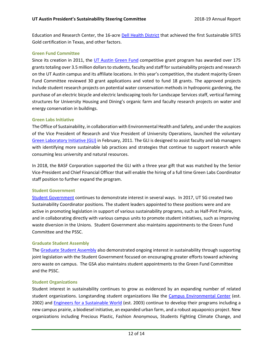Education and Research Center, the 16-acre [Dell Health District](https://sustainability.utexas.edu/news/ut-austin-celebrates-dense-sustainable-development) that achieved the first Sustainable SITES Gold certification in Texas, and other factors.

#### <span id="page-12-0"></span>**Green Fund Committee**

Since its creation in 2011, the [UT Austin Green Fund](https://sustainability.utexas.edu/getinvolved/greenfund) competitive grant program has awarded over 175 grants totaling over 3.5 million dollars to students, faculty and staff for sustainability projects and research on the UT Austin campus and its affiliate locations. In this year's competition, the student majority Green Fund Committee reviewed 30 grant applications and voted to fund 18 grants. The approved projects include student research projects on potential water conservation methods in hydroponic gardening, the purchase of an electric bicycle and electric landscaping tools for Landscape Services staff, vertical farming structures for University Housing and Dining's organic farm and faculty research projects on water and energy conservation in buildings.

#### <span id="page-12-1"></span>**Green Labs Initiative**

The Office of Sustainability, in collaboration with Environmental Health and Safety, and under the auspices of the Vice President of Research and Vice President of University Operations, launched the voluntary [Green Laboratory](https://utgreenlabs.wixsite.com/utgreenlabs) Initiative (GLI) in February, 2011. The GLI is designed to assist faculty and lab managers with identifying more sustainable lab practices and strategies that continue to support research while consuming less university and natural resources.

In 2018, the BASF Corporation supported the GLI with a three year gift that was matched by the Senior Vice-President and Chief Financial Officer that will enable the hiring of a full time Green Labs Coordinator staff position to further expand the program.

#### <span id="page-12-2"></span>**Student Government**

[Student Government](https://www.utsg.org/) continues to demonstrate interest in several ways. In 2017, UT SG created two Sustainability Coordinator positions. The student leaders appointed to these positions were and are active in promoting legislation in support of various sustainability programs, such as Half-Pint Prairie, and in collaborating directly with various campus units to promote student initiatives, such as improving waste diversion in the Unions. Student Government also maintains appointments to the Green Fund Committee and the PSSC.

#### <span id="page-12-3"></span>**Graduate Student Assembly**

The [Graduate Student Assembly](https://www.utgsa.net/) also demonstrated ongoing interest in sustainability through supporting joint legislation with the Student Government focused on encouraging greater efforts toward achieving zero waste on campus. The GSA also maintains student appointments to the Green Fund Committee and the PSSC.

#### <span id="page-12-4"></span>**Student Organizations**

Student interest in sustainability continues to grow as evidenced by an expanding number of related student organizations. Longstanding student organizations like the [Campus Environmental Center](https://utenvironment.org/) (est. 2002) and Engineers [for a Sustainable World](http://www.eswut.com/) (est. 2003) continue to develop their programs including a new campus prairie, a biodiesel initiative, an expanded urban farm, and a robust aquaponics project. New organizations including Precious Plastic, Fashion Anonymous, Students Fighting Climate Change, and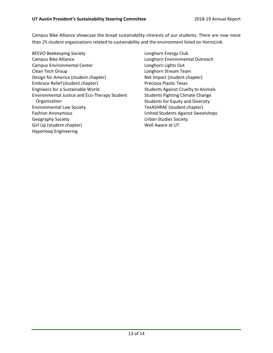Campus Bike Alliance showcase the broad sustainability interests of our students. There are now more than 25 student organizations related to sustainability and the environment listed on HornsLink.

- BEEVO Beekeeping Society Campus Bike Alliance Campus Environmental Center Clean Tech Group Design for America (student chapter) Embrace Relief (student chapter) Engineers for a Sustainable World Environmental Justice and Eco-Therapy Student Organization Environmental Law Society Fashion Anonymous Geography Society Girl Up (student chapter) Hyperloop Engineering
- Longhorn Energy Club Longhorn Environmental Outreach Longhorn Lights Out Longhorn Stream Team Net Impact (student chapter) Precious Plastic Texas Students Against Cruelty to Animals Students Fighting Climate Change Students for Equity and Diversity TexASHRAE (student chapter) United Students Against Sweatshops Urban Studies Society Well Aware at UT